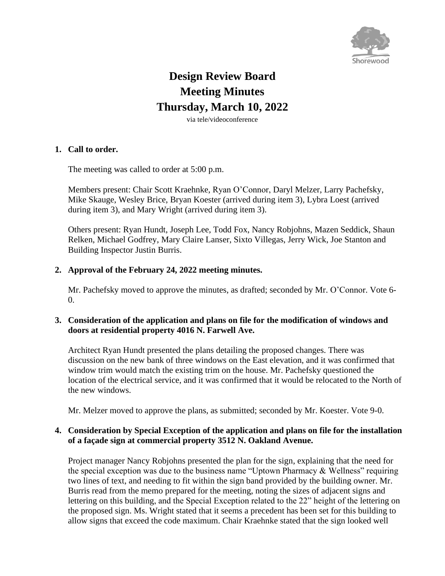

# **Design Review Board Meeting Minutes Thursday, March 10, 2022**

via tele/videoconference

#### **1. Call to order.**

The meeting was called to order at 5:00 p.m.

Members present: Chair Scott Kraehnke, Ryan O'Connor, Daryl Melzer, Larry Pachefsky, Mike Skauge, Wesley Brice, Bryan Koester (arrived during item 3), Lybra Loest (arrived during item 3), and Mary Wright (arrived during item 3).

Others present: Ryan Hundt, Joseph Lee, Todd Fox, Nancy Robjohns, Mazen Seddick, Shaun Relken, Michael Godfrey, Mary Claire Lanser, Sixto Villegas, Jerry Wick, Joe Stanton and Building Inspector Justin Burris.

## **2. Approval of the February 24, 2022 meeting minutes.**

Mr. Pachefsky moved to approve the minutes, as drafted; seconded by Mr. O'Connor. Vote 6-  $\Omega$ .

## **3. Consideration of the application and plans on file for the modification of windows and doors at residential property 4016 N. Farwell Ave.**

Architect Ryan Hundt presented the plans detailing the proposed changes. There was discussion on the new bank of three windows on the East elevation, and it was confirmed that window trim would match the existing trim on the house. Mr. Pachefsky questioned the location of the electrical service, and it was confirmed that it would be relocated to the North of the new windows.

Mr. Melzer moved to approve the plans, as submitted; seconded by Mr. Koester. Vote 9-0.

## **4. Consideration by Special Exception of the application and plans on file for the installation of a façade sign at commercial property 3512 N. Oakland Avenue.**

Project manager Nancy Robjohns presented the plan for the sign, explaining that the need for the special exception was due to the business name "Uptown Pharmacy  $&$  Wellness" requiring two lines of text, and needing to fit within the sign band provided by the building owner. Mr. Burris read from the memo prepared for the meeting, noting the sizes of adjacent signs and lettering on this building, and the Special Exception related to the 22" height of the lettering on the proposed sign. Ms. Wright stated that it seems a precedent has been set for this building to allow signs that exceed the code maximum. Chair Kraehnke stated that the sign looked well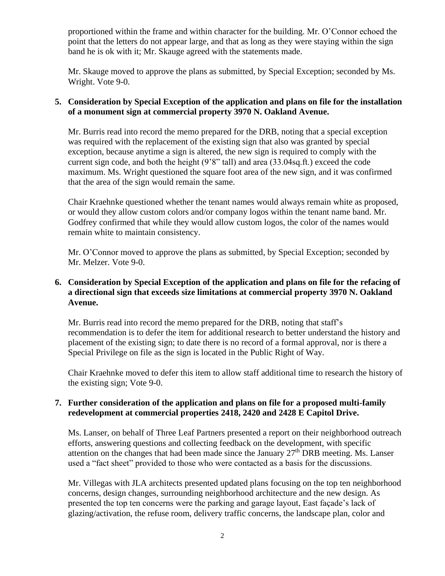proportioned within the frame and within character for the building. Mr. O'Connor echoed the point that the letters do not appear large, and that as long as they were staying within the sign band he is ok with it; Mr. Skauge agreed with the statements made.

Mr. Skauge moved to approve the plans as submitted, by Special Exception; seconded by Ms. Wright. Vote 9-0.

## **5. Consideration by Special Exception of the application and plans on file for the installation of a monument sign at commercial property 3970 N. Oakland Avenue.**

Mr. Burris read into record the memo prepared for the DRB, noting that a special exception was required with the replacement of the existing sign that also was granted by special exception, because anytime a sign is altered, the new sign is required to comply with the current sign code, and both the height (9'8" tall) and area (33.04sq.ft.) exceed the code maximum. Ms. Wright questioned the square foot area of the new sign, and it was confirmed that the area of the sign would remain the same.

Chair Kraehnke questioned whether the tenant names would always remain white as proposed, or would they allow custom colors and/or company logos within the tenant name band. Mr. Godfrey confirmed that while they would allow custom logos, the color of the names would remain white to maintain consistency.

Mr. O'Connor moved to approve the plans as submitted, by Special Exception; seconded by Mr. Melzer. Vote 9-0.

# **6. Consideration by Special Exception of the application and plans on file for the refacing of a directional sign that exceeds size limitations at commercial property 3970 N. Oakland Avenue.**

Mr. Burris read into record the memo prepared for the DRB, noting that staff's recommendation is to defer the item for additional research to better understand the history and placement of the existing sign; to date there is no record of a formal approval, nor is there a Special Privilege on file as the sign is located in the Public Right of Way.

Chair Kraehnke moved to defer this item to allow staff additional time to research the history of the existing sign; Vote 9-0.

## **7. Further consideration of the application and plans on file for a proposed multi-family redevelopment at commercial properties 2418, 2420 and 2428 E Capitol Drive.**

Ms. Lanser, on behalf of Three Leaf Partners presented a report on their neighborhood outreach efforts, answering questions and collecting feedback on the development, with specific attention on the changes that had been made since the January 27th DRB meeting. Ms. Lanser used a "fact sheet" provided to those who were contacted as a basis for the discussions.

Mr. Villegas with JLA architects presented updated plans focusing on the top ten neighborhood concerns, design changes, surrounding neighborhood architecture and the new design. As presented the top ten concerns were the parking and garage layout, East façade's lack of glazing/activation, the refuse room, delivery traffic concerns, the landscape plan, color and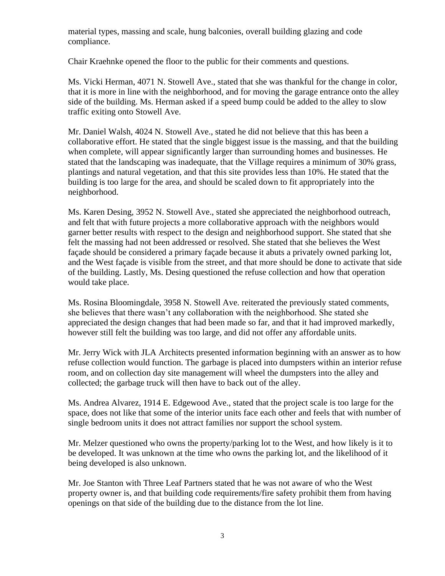material types, massing and scale, hung balconies, overall building glazing and code compliance.

Chair Kraehnke opened the floor to the public for their comments and questions.

Ms. Vicki Herman, 4071 N. Stowell Ave., stated that she was thankful for the change in color, that it is more in line with the neighborhood, and for moving the garage entrance onto the alley side of the building. Ms. Herman asked if a speed bump could be added to the alley to slow traffic exiting onto Stowell Ave.

Mr. Daniel Walsh, 4024 N. Stowell Ave., stated he did not believe that this has been a collaborative effort. He stated that the single biggest issue is the massing, and that the building when complete, will appear significantly larger than surrounding homes and businesses. He stated that the landscaping was inadequate, that the Village requires a minimum of 30% grass, plantings and natural vegetation, and that this site provides less than 10%. He stated that the building is too large for the area, and should be scaled down to fit appropriately into the neighborhood.

Ms. Karen Desing, 3952 N. Stowell Ave., stated she appreciated the neighborhood outreach, and felt that with future projects a more collaborative approach with the neighbors would garner better results with respect to the design and neighborhood support. She stated that she felt the massing had not been addressed or resolved. She stated that she believes the West façade should be considered a primary façade because it abuts a privately owned parking lot, and the West façade is visible from the street, and that more should be done to activate that side of the building. Lastly, Ms. Desing questioned the refuse collection and how that operation would take place.

Ms. Rosina Bloomingdale, 3958 N. Stowell Ave. reiterated the previously stated comments, she believes that there wasn't any collaboration with the neighborhood. She stated she appreciated the design changes that had been made so far, and that it had improved markedly, however still felt the building was too large, and did not offer any affordable units.

Mr. Jerry Wick with JLA Architects presented information beginning with an answer as to how refuse collection would function. The garbage is placed into dumpsters within an interior refuse room, and on collection day site management will wheel the dumpsters into the alley and collected; the garbage truck will then have to back out of the alley.

Ms. Andrea Alvarez, 1914 E. Edgewood Ave., stated that the project scale is too large for the space, does not like that some of the interior units face each other and feels that with number of single bedroom units it does not attract families nor support the school system.

Mr. Melzer questioned who owns the property/parking lot to the West, and how likely is it to be developed. It was unknown at the time who owns the parking lot, and the likelihood of it being developed is also unknown.

Mr. Joe Stanton with Three Leaf Partners stated that he was not aware of who the West property owner is, and that building code requirements/fire safety prohibit them from having openings on that side of the building due to the distance from the lot line.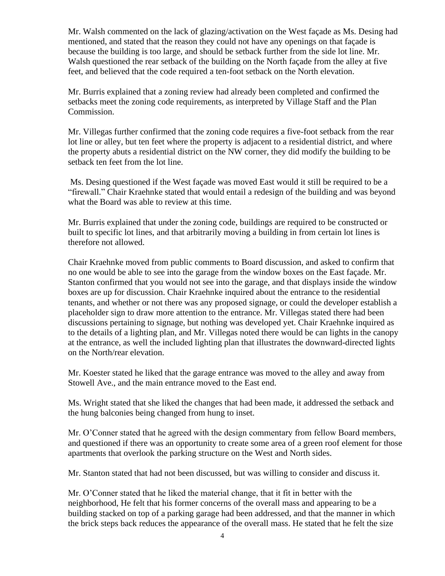Mr. Walsh commented on the lack of glazing/activation on the West façade as Ms. Desing had mentioned, and stated that the reason they could not have any openings on that façade is because the building is too large, and should be setback further from the side lot line. Mr. Walsh questioned the rear setback of the building on the North façade from the alley at five feet, and believed that the code required a ten-foot setback on the North elevation.

Mr. Burris explained that a zoning review had already been completed and confirmed the setbacks meet the zoning code requirements, as interpreted by Village Staff and the Plan Commission.

Mr. Villegas further confirmed that the zoning code requires a five-foot setback from the rear lot line or alley, but ten feet where the property is adjacent to a residential district, and where the property abuts a residential district on the NW corner, they did modify the building to be setback ten feet from the lot line.

Ms. Desing questioned if the West façade was moved East would it still be required to be a "firewall." Chair Kraehnke stated that would entail a redesign of the building and was beyond what the Board was able to review at this time.

Mr. Burris explained that under the zoning code, buildings are required to be constructed or built to specific lot lines, and that arbitrarily moving a building in from certain lot lines is therefore not allowed.

Chair Kraehnke moved from public comments to Board discussion, and asked to confirm that no one would be able to see into the garage from the window boxes on the East façade. Mr. Stanton confirmed that you would not see into the garage, and that displays inside the window boxes are up for discussion. Chair Kraehnke inquired about the entrance to the residential tenants, and whether or not there was any proposed signage, or could the developer establish a placeholder sign to draw more attention to the entrance. Mr. Villegas stated there had been discussions pertaining to signage, but nothing was developed yet. Chair Kraehnke inquired as to the details of a lighting plan, and Mr. Villegas noted there would be can lights in the canopy at the entrance, as well the included lighting plan that illustrates the downward-directed lights on the North/rear elevation.

Mr. Koester stated he liked that the garage entrance was moved to the alley and away from Stowell Ave., and the main entrance moved to the East end.

Ms. Wright stated that she liked the changes that had been made, it addressed the setback and the hung balconies being changed from hung to inset.

Mr. O'Conner stated that he agreed with the design commentary from fellow Board members, and questioned if there was an opportunity to create some area of a green roof element for those apartments that overlook the parking structure on the West and North sides.

Mr. Stanton stated that had not been discussed, but was willing to consider and discuss it.

Mr. O'Conner stated that he liked the material change, that it fit in better with the neighborhood, He felt that his former concerns of the overall mass and appearing to be a building stacked on top of a parking garage had been addressed, and that the manner in which the brick steps back reduces the appearance of the overall mass. He stated that he felt the size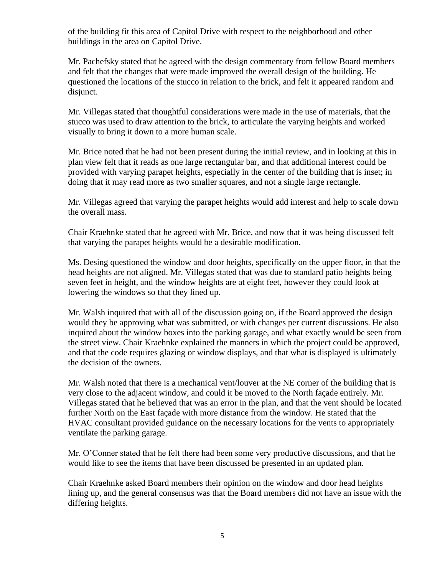of the building fit this area of Capitol Drive with respect to the neighborhood and other buildings in the area on Capitol Drive.

Mr. Pachefsky stated that he agreed with the design commentary from fellow Board members and felt that the changes that were made improved the overall design of the building. He questioned the locations of the stucco in relation to the brick, and felt it appeared random and disjunct.

Mr. Villegas stated that thoughtful considerations were made in the use of materials, that the stucco was used to draw attention to the brick, to articulate the varying heights and worked visually to bring it down to a more human scale.

Mr. Brice noted that he had not been present during the initial review, and in looking at this in plan view felt that it reads as one large rectangular bar, and that additional interest could be provided with varying parapet heights, especially in the center of the building that is inset; in doing that it may read more as two smaller squares, and not a single large rectangle.

Mr. Villegas agreed that varying the parapet heights would add interest and help to scale down the overall mass.

Chair Kraehnke stated that he agreed with Mr. Brice, and now that it was being discussed felt that varying the parapet heights would be a desirable modification.

Ms. Desing questioned the window and door heights, specifically on the upper floor, in that the head heights are not aligned. Mr. Villegas stated that was due to standard patio heights being seven feet in height, and the window heights are at eight feet, however they could look at lowering the windows so that they lined up.

Mr. Walsh inquired that with all of the discussion going on, if the Board approved the design would they be approving what was submitted, or with changes per current discussions. He also inquired about the window boxes into the parking garage, and what exactly would be seen from the street view. Chair Kraehnke explained the manners in which the project could be approved, and that the code requires glazing or window displays, and that what is displayed is ultimately the decision of the owners.

Mr. Walsh noted that there is a mechanical vent/louver at the NE corner of the building that is very close to the adjacent window, and could it be moved to the North façade entirely. Mr. Villegas stated that he believed that was an error in the plan, and that the vent should be located further North on the East façade with more distance from the window. He stated that the HVAC consultant provided guidance on the necessary locations for the vents to appropriately ventilate the parking garage.

Mr. O'Conner stated that he felt there had been some very productive discussions, and that he would like to see the items that have been discussed be presented in an updated plan.

Chair Kraehnke asked Board members their opinion on the window and door head heights lining up, and the general consensus was that the Board members did not have an issue with the differing heights.